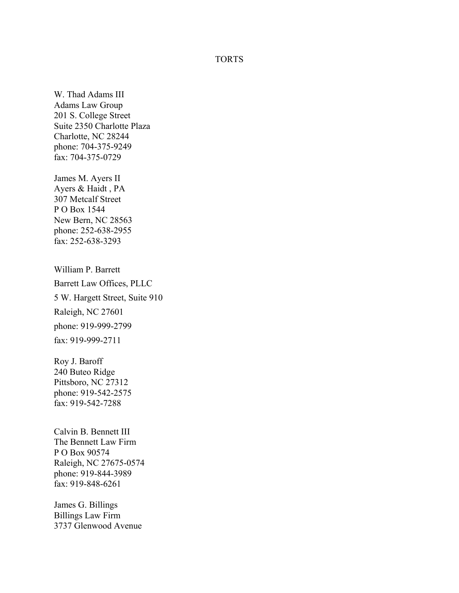## TORTS

W. Thad Adams III Adams Law Group 201 S. College Street Suite 2350 Charlotte Plaza Charlotte, NC 28244 phone: 704-375-9249 fax: 704-375-0729

James M. Ayers II Ayers & Haidt , PA 307 Metcalf Street P O Box 1544 New Bern, NC 28563 phone: 252-638-2955 fax: 252-638-3293

William P. Barrett Barrett Law Offices, PLLC 5 W. Hargett Street, Suite 910 Raleigh, NC 27601 phone: 919-999-2799 fax: 919-999-2711

Roy J. Baroff 240 Buteo Ridge Pittsboro, NC 27312 phone: 919-542-2575 fax: 919-542-7288

Calvin B. Bennett III The Bennett Law Firm P O Box 90574 Raleigh, NC 27675-0574 phone: 919-844-3989 fax: 919-848-6261

James G. Billings Billings Law Firm 3737 Glenwood Avenue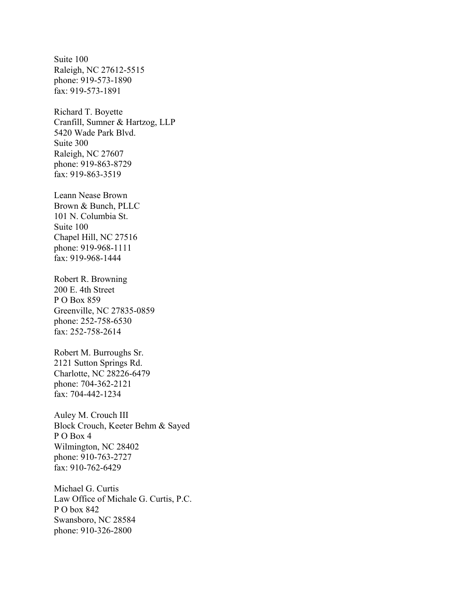Suite 100 Raleigh, NC 27612-5515 phone: 919-573-1890 fax: 919-573-1891

Richard T. Boyette Cranfill, Sumner & Hartzog, LLP 5420 Wade Park Blvd. Suite 300 Raleigh, NC 27607 phone: 919-863-8729 fax: 919-863-3519

Leann Nease Brown Brown & Bunch, PLLC 101 N. Columbia St. Suite 100 Chapel Hill, NC 27516 phone: 919-968-1111 fax: 919-968-1444

Robert R. Browning 200 E. 4th Street P O Box 859 Greenville, NC 27835-0859 phone: 252-758-6530 fax: 252-758-2614

Robert M. Burroughs Sr. 2121 Sutton Springs Rd. Charlotte, NC 28226-6479 phone: 704-362-2121 fax: 704-442-1234

Auley M. Crouch III Block Crouch, Keeter Behm & Sayed P O Box 4 Wilmington, NC 28402 phone: 910-763-2727 fax: 910-762-6429

Michael G. Curtis Law Office of Michale G. Curtis, P.C. P O box 842 Swansboro, NC 28584 phone: 910-326-2800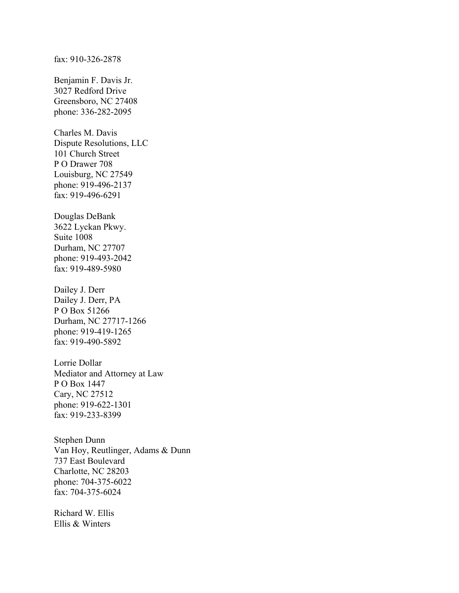Benjamin F. Davis Jr. 3027 Redford Drive Greensboro, NC 27408 phone: 336-282-2095

Charles M. Davis Dispute Resolutions, LLC 101 Church Street P O Drawer 708 Louisburg, NC 27549 phone: 919-496-2137 fax: 919-496-6291

Douglas DeBank 3622 Lyckan Pkwy. Suite 1008 Durham, NC 27707 phone: 919-493-2042 fax: 919-489-5980

Dailey J. Derr Dailey J. Derr, PA P O Box 51266 Durham, NC 27717-1266 phone: 919-419-1265 fax: 919-490-5892

Lorrie Dollar Mediator and Attorney at Law P O Box 1447 Cary, NC 27512 phone: 919-622-1301 fax: 919-233-8399

Stephen Dunn Van Hoy, Reutlinger, Adams & Dunn 737 East Boulevard Charlotte, NC 28203 phone: 704-375-6022 fax: 704-375-6024

Richard W. Ellis Ellis & Winters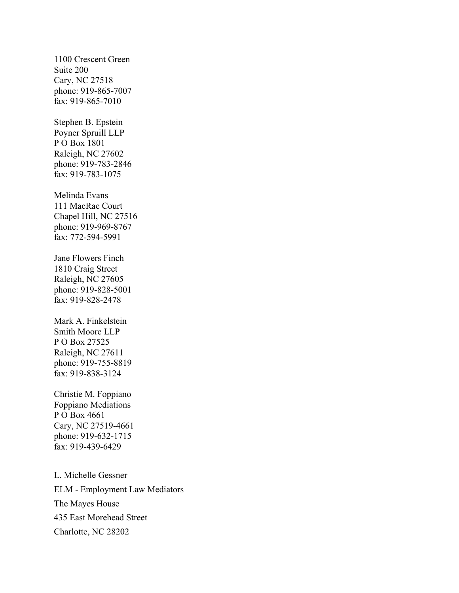1100 Crescent Green Suite 200 Cary, NC 27518 phone: 919-865-7007 fax: 919-865-7010

Stephen B. Epstein Poyner Spruill LLP P O Box 1801 Raleigh, NC 27602 phone: 919-783-2846 fax: 919-783-1075

Melinda Evans 111 MacRae Court Chapel Hill, NC 27516 phone: 919-969-8767 fax: 772-594-5991

Jane Flowers Finch 1810 Craig Street Raleigh, NC 27605 phone: 919-828-5001 fax: 919-828-2478

Mark A. Finkelstein Smith Moore LLP P O Box 27525 Raleigh, NC 27611 phone: 919-755-8819 fax: 919-838-3124

Christie M. Foppiano Foppiano Mediations P O Box 4661 Cary, NC 27519-4661 phone: 919-632-1715 fax: 919-439-6429

L. Michelle Gessner ELM - Employment Law Mediators The Mayes House 435 East Morehead Street Charlotte, NC 28202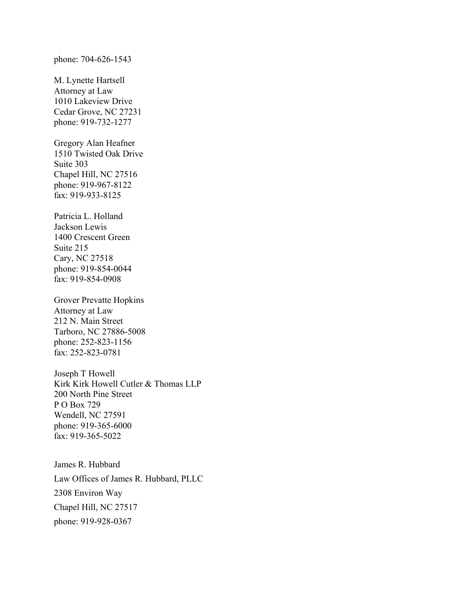## phone: 704-626-1543

M. Lynette Hartsell Attorney at Law 1010 Lakeview Drive Cedar Grove, NC 27231 phone: 919-732-1277

Gregory Alan Heafner 1510 Twisted Oak Drive Suite 303 Chapel Hill, NC 27516 phone: 919-967-8122 fax: 919-933-8125

Patricia L. Holland Jackson Lewis 1400 Crescent Green Suite 215 Cary, NC 27518 phone: 919-854-0044 fax: 919-854-0908

Grover Prevatte Hopkins Attorney at Law 212 N. Main Street Tarboro, NC 27886-5008 phone: 252-823-1156 fax: 252-823-0781

Joseph T Howell Kirk Kirk Howell Cutler & Thomas LLP 200 North Pine Street P O Box 729 Wendell, NC 27591 phone: 919-365-6000 fax: 919-365-5022

James R. Hubbard Law Offices of James R. Hubbard, PLLC 2308 Environ Way Chapel Hill, NC 27517 phone: 919-928-0367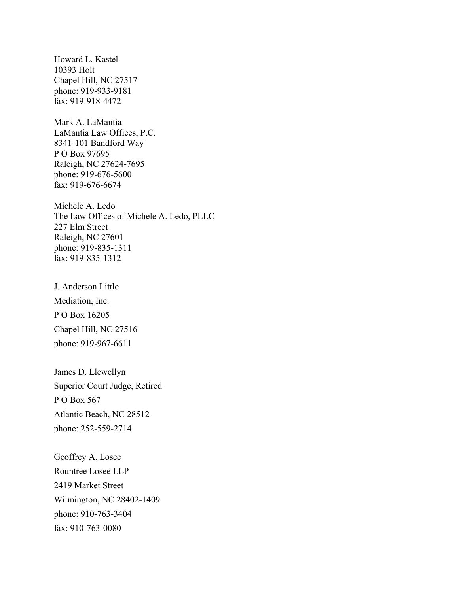Howard L. Kastel 10393 Holt Chapel Hill, NC 27517 phone: 919-933-9181 fax: 919-918-4472

Mark A. LaMantia LaMantia Law Offices, P.C. 8341-101 Bandford Way P O Box 97695 Raleigh, NC 27624-7695 phone: 919-676-5600 fax: 919-676-6674

Michele A. Ledo The Law Offices of Michele A. Ledo, PLLC 227 Elm Street Raleigh, NC 27601 phone: 919-835-1311 fax: 919-835-1312

J. Anderson Little Mediation, Inc. P O Box 16205 Chapel Hill, NC 27516 phone: 919-967-6611

James D. Llewellyn Superior Court Judge, Retired P O Box 567 Atlantic Beach, NC 28512 phone: 252-559-2714

Geoffrey A. Losee Rountree Losee LLP 2419 Market Street Wilmington, NC 28402-1409 phone: 910-763-3404 fax: 910-763-0080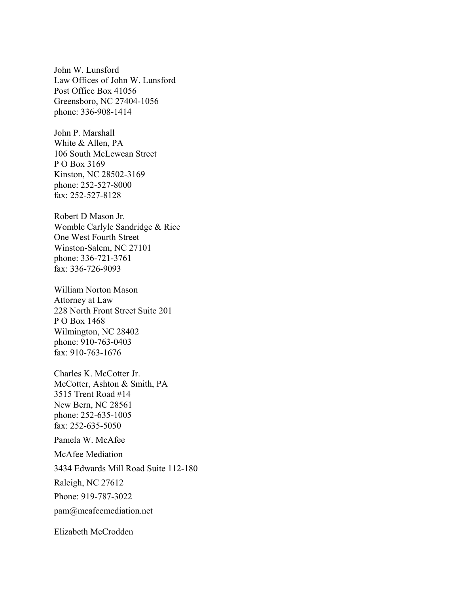John W. Lunsford Law Offices of John W. Lunsford Post Office Box 41056 Greensboro, NC 27404-1056 phone: 336-908-1414

John P. Marshall White & Allen, PA 106 South McLewean Street P O Box 3169 Kinston, NC 28502-3169 phone: 252-527-8000 fax: 252-527-8128

Robert D Mason Jr. Womble Carlyle Sandridge & Rice One West Fourth Street Winston-Salem, NC 27101 phone: 336-721-3761 fax: 336-726-9093

William Norton Mason Attorney at Law 228 North Front Street Suite 201 P O Box 1468 Wilmington, NC 28402 phone: 910-763-0403 fax: 910-763-1676

Charles K. McCotter Jr. McCotter, Ashton & Smith, PA 3515 Trent Road #14 New Bern, NC 28561 phone: 252-635-1005 fax: 252-635-5050

Pamela W. McAfee McAfee Mediation 3434 Edwards Mill Road Suite 112-180 Raleigh, NC 27612 Phone: 919-787-3022 pam@mcafeemediation.net

Elizabeth McCrodden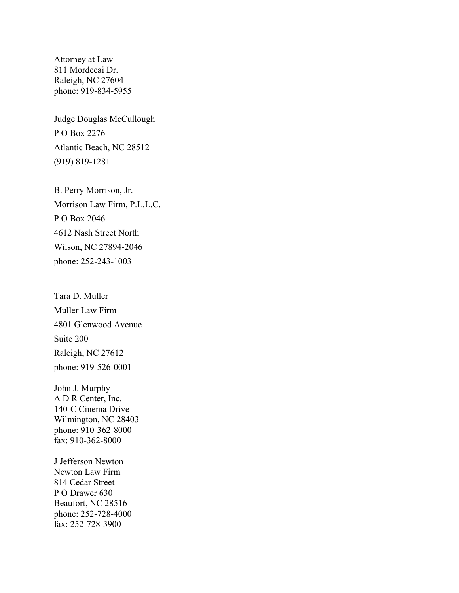Attorney at Law 811 Mordecai Dr. Raleigh, NC 27604 phone: 919-834-5955

Judge Douglas McCullough P O Box 2276 Atlantic Beach, NC 28512 (919) 819-1281

B. Perry Morrison, Jr. Morrison Law Firm, P.L.L.C. P O Box 2046 4612 Nash Street North Wilson, NC 27894-2046 phone: 252-243-1003

Tara D. Muller Muller Law Firm 4801 Glenwood Avenue Suite 200 Raleigh, NC 27612 phone: 919-526-0001

John J. Murphy A D R Center, Inc. 140-C Cinema Drive Wilmington, NC 28403 phone: 910-362-8000 fax: 910-362-8000

J Jefferson Newton Newton Law Firm 814 Cedar Street P O Drawer 630 Beaufort, NC 28516 phone: 252-728-4000 fax: 252-728-3900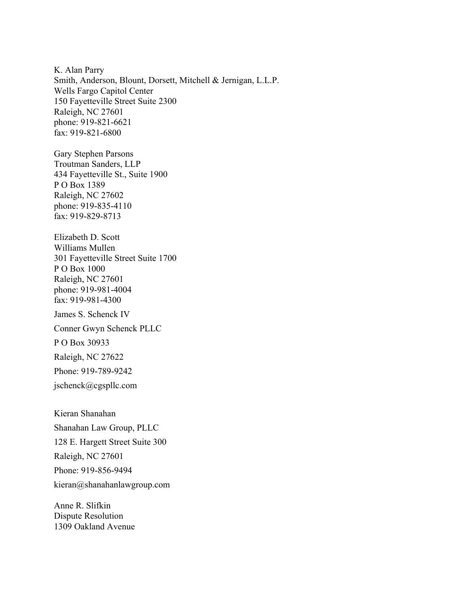K. Alan Parry Smith, Anderson, Blount, Dorsett, Mitchell & Jernigan, L.L.P. Wells Fargo Capitol Center 150 Fayetteville Street Suite 2300 Raleigh, NC 27601 phone: 919-821-6621 fax: 919-821-6800

Gary Stephen Parsons Troutman Sanders, LLP 434 Fayetteville St., Suite 1900 P O Box 1389 Raleigh, NC 27602 phone: 919-835-4110 fax: 919-829-8713

Elizabeth D. Scott Williams Mullen 301 Fayetteville Street Suite 1700 P O Box 1000 Raleigh, NC 27601 phone: 919-981-4004 fax: 919-981-4300

James S. Schenck IV

Conner Gwyn Schenck PLLC

P O Box 30933

Raleigh, NC 27622

Phone: 919-789-9242

jschenck@cgspllc.com

Kieran Shanahan Shanahan Law Group, PLLC 128 E. Hargett Street Suite 300 Raleigh, NC 27601 Phone: 919-856-9494 kieran@shanahanlawgroup.com

Anne R. Slifkin Dispute Resolution 1309 Oakland Avenue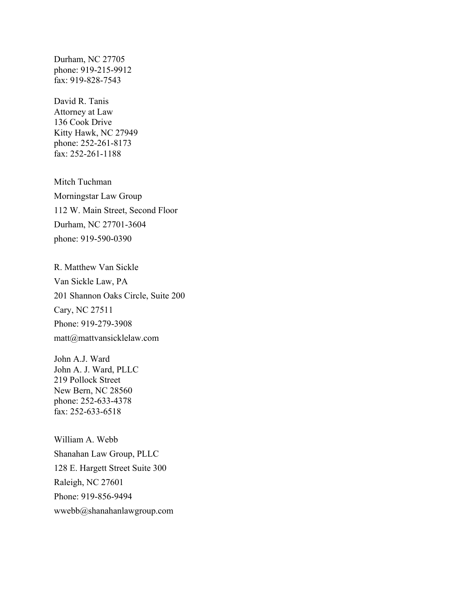Durham, NC 27705 phone: 919-215-9912 fax: 919-828-7543

David R. Tanis Attorney at Law 136 Cook Drive Kitty Hawk, NC 27949 phone: 252-261-8173 fax: 252-261-1188

Mitch Tuchman Morningstar Law Group 112 W. Main Street, Second Floor Durham, NC 27701-3604 phone: 919-590-0390

R. Matthew Van Sickle Van Sickle Law, PA 201 Shannon Oaks Circle, Suite 200 Cary, NC 27511 Phone: 919-279-3908 matt@mattvansicklelaw.com

John A.J. Ward John A. J. Ward, PLLC 219 Pollock Street New Bern, NC 28560 phone: 252-633-4378 fax: 252-633-6518

William A. Webb Shanahan Law Group, PLLC 128 E. Hargett Street Suite 300 Raleigh, NC 27601 Phone: 919-856-9494 wwebb@shanahanlawgroup.com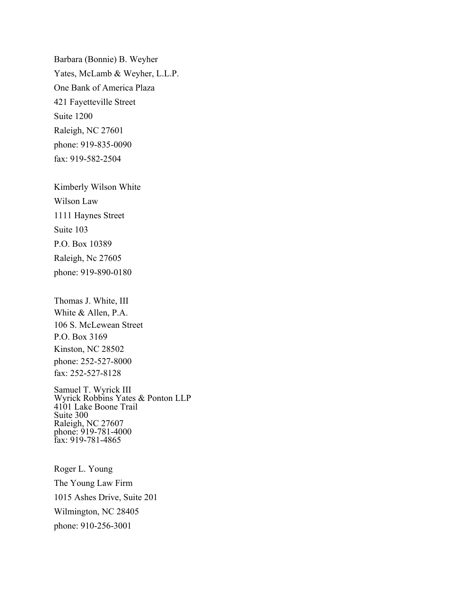Barbara (Bonnie) B. Weyher Yates, McLamb & Weyher, L.L.P. One Bank of America Plaza 421 Fayetteville Street Suite 1200 Raleigh, NC 27601 phone: 919-835-0090 fax: 919-582-2504

Kimberly Wilson White Wilson Law 1111 Haynes Street Suite 103 P.O. Box 10389 Raleigh, Nc 27605 phone: 919-890-0180

Thomas J. White, III White & Allen, P.A. 106 S. McLewean Street P.O. Box 3169 Kinston, NC 28502 phone: 252-527-8000 fax: 252-527-8128

Samuel T. Wyrick III Wyrick Robbins Yates & Ponton LLP 4101 Lake Boone Trail Suite 300 Raleigh, NC 27607 phone: 919-781-4000 fax: 919-781-4865

Roger L. Young The Young Law Firm 1015 Ashes Drive, Suite 201 Wilmington, NC 28405 phone: 910-256-3001